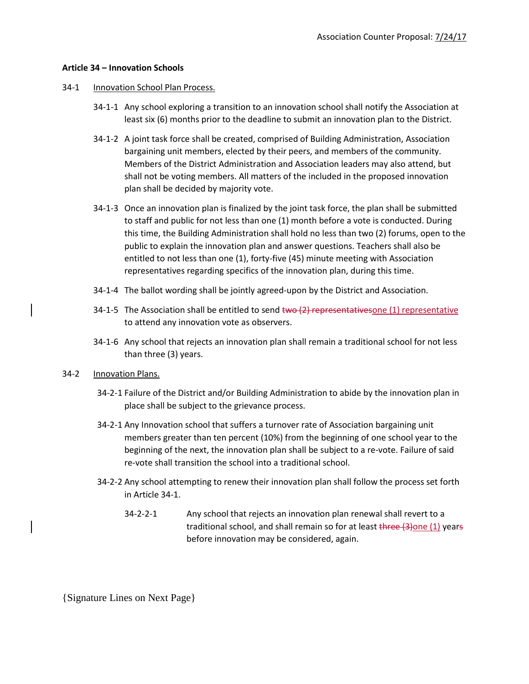## **Article 34 – Innovation Schools**

- 34-1 Innovation School Plan Process.
	- 34-1-1 Any school exploring a transition to an innovation school shall notify the Association at least six (6) months prior to the deadline to submit an innovation plan to the District.
	- 34-1-2 A joint task force shall be created, comprised of Building Administration, Association bargaining unit members, elected by their peers, and members of the community. Members of the District Administration and Association leaders may also attend, but shall not be voting members. All matters of the included in the proposed innovation plan shall be decided by majority vote.
	- 34-1-3 Once an innovation plan is finalized by the joint task force, the plan shall be submitted to staff and public for not less than one (1) month before a vote is conducted. During this time, the Building Administration shall hold no less than two (2) forums, open to the public to explain the innovation plan and answer questions. Teachers shall also be entitled to not less than one (1), forty-five (45) minute meeting with Association representatives regarding specifics of the innovation plan, during this time.
	- 34-1-4 The ballot wording shall be jointly agreed-upon by the District and Association.
	- 34-1-5 The Association shall be entitled to send two  $(2)$  representativesone (1) representative to attend any innovation vote as observers.
	- 34-1-6 Any school that rejects an innovation plan shall remain a traditional school for not less than three (3) years.
- 34-2 Innovation Plans.
	- 34-2-1 Failure of the District and/or Building Administration to abide by the innovation plan in place shall be subject to the grievance process.
	- 34-2-1 Any Innovation school that suffers a turnover rate of Association bargaining unit members greater than ten percent (10%) from the beginning of one school year to the beginning of the next, the innovation plan shall be subject to a re-vote. Failure of said re-vote shall transition the school into a traditional school.
	- 34-2-2 Any school attempting to renew their innovation plan shall follow the process set forth in Article 34-1.
		- 34-2-2-1 Any school that rejects an innovation plan renewal shall revert to a traditional school, and shall remain so for at least three (3) one (1) years before innovation may be considered, again.

{Signature Lines on Next Page}